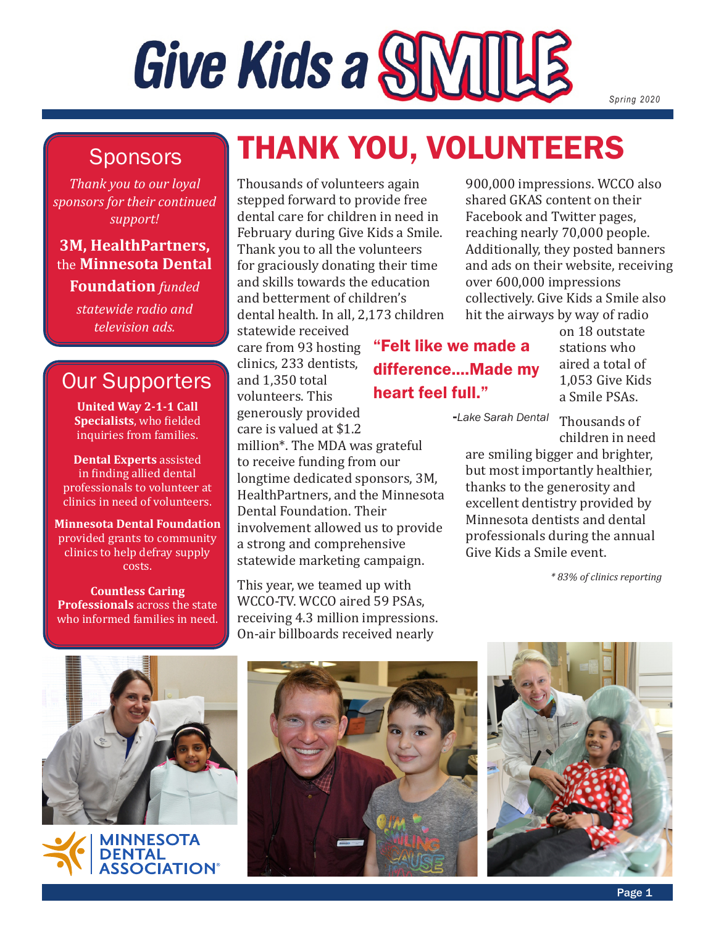# Give Kids a SNIILLE

*Spring 2020*

### Sponsors

*Thank you to our loyal sponsors for their continued support!*

### **3M, HealthPartners,**  the **Minnesota Dental**

**Foundation** *funded* 

*statewide radio and television ads.*

### Our Supporters

**United Way 2-1-1 Call Specialists**, who fielded inquiries from families.

**Dental Experts** assisted in finding allied dental professionals to volunteer at clinics in need of volunteers.

**Minnesota Dental Foundation** provided grants to community clinics to help defray supply costs.

**Countless Caring Professionals** across the state who informed families in need.

# THANK YOU, VOLUNTEERS

"Felt like we made a

difference....Made my

heart feel full."

Thousands of volunteers again stepped forward to provide free dental care for children in need in February during Give Kids a Smile. Thank you to all the volunteers for graciously donating their time and skills towards the education and betterment of children's dental health. In all, 2,173 children

statewide received care from 93 hosting clinics, 233 dentists, and 1,350 total volunteers. This generously provided care is valued at \$1.2

million\*. The MDA was grateful to receive funding from our longtime dedicated sponsors, 3M, HealthPartners, and the Minnesota Dental Foundation. Their involvement allowed us to provide a strong and comprehensive statewide marketing campaign.

This year, we teamed up with WCCO-TV. WCCO aired 59 PSAs, receiving 4.3 million impressions. On-air billboards received nearly

900,000 impressions. WCCO also shared GKAS content on their Facebook and Twitter pages, reaching nearly 70,000 people. Additionally, they posted banners and ads on their website, receiving over 600,000 impressions collectively. Give Kids a Smile also hit the airways by way of radio

on 18 outstate stations who aired a total of 1,053 Give Kids a Smile PSAs.

**-***Lake Sarah Dental*

Thousands of children in need

are smiling bigger and brighter, but most importantly healthier, thanks to the generosity and excellent dentistry provided by Minnesota dentists and dental professionals during the annual Give Kids a Smile event.

*\* 83% of clinics reporting*